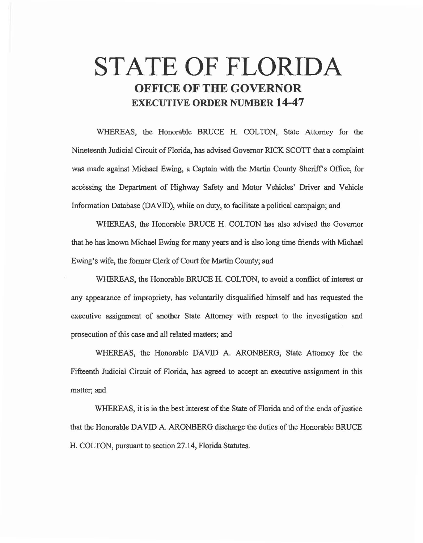# STATE OF FLORIDA OFFICE OF THE GOVERNOR EXECUTIVE ORDER NUMBER 14-47

WHEREAS, the Honorable BRUCE H. COLTON, State Attorney for the Nineteenth Judicial Circuit of Florida, has advised Governor RICK SCOTT that a complaint was made against Michael Ewing, a Captain with the Martin County Sheriff's Office, for accessing the Department of Highway Safety and Motor Vehicles' Driver and Vehicle Information Database (DAVID), while on duty, to facilitate a political campaign; and

WHEREAS, the Honorable BRUCE H. COLTON has also advised the Governor that he has known Michael Ewing for many years and is also long time friends with Michael Ewing's wife, the former Clerk of Court for Martin County; and

WHEREAS, the Honorable BRUCE H. COLTON, to avoid a conflict of interest or any appearance of impropriety, has voluntarily disqualified himself and has requested the executive assignment of another State Attorney with respect to the investigation and prosecution of this case and all related matters; and

WHEREAS, the Honorable DAVID A. ARONBERG, State Attorney for the Fifteenth Judicial Circuit of Florida, has agreed to accept an executive assignment in this matter; and

WHEREAS, it is in the best interest of the State of Florida and of the ends of justice that the Honorable DAVID A. ARONBERG discharge the duties ofthe Honorable BRUCE H. COLTON, pursuant to section 27.14, Florida Statutes.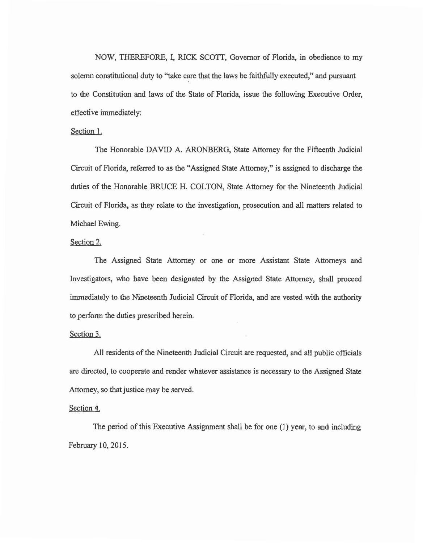NOW, THEREFORE, I, RICK SCOTI, Governor of Florida, in obedience to my solemn constitutional duty to "take care that the laws be faithfully executed," and pursuant to the Constitution and laws of the State of Florida, issue the following Executive Order, effective immediately:

### Section I.

The Honorable DAVID A. ARONBERG, State Attorney for the Fifteenth Judicial Circuit of Florida, referred to as the "Assigned State Attorney," is assigned to discharge the duties of the Honorable BRUCE H. COLTON, State Attorney for the Nineteenth Judicial Circuit of Florida, as they relate to the investigation, prosecution and all matters related to Michael Ewing.

## Section 2.

The Assigned State Attorney or one or more Assistant State Attorneys and Investigators, who have been designated by the Assigned State Attorney, shall proceed immediately to the Nineteenth Judicial Circuit of Florida, and are vested with the authority to perform the duties prescribed herein.

#### Section 3.

All residents of the Nineteenth Judicial Circuit are requested, and all public officials are directed, to cooperate and render whatever assistance is necessary to the Assigned State Attorney, so that justice may be served.

#### Section 4.

The period of this Executive Assignment shall be for one (1) year, to and including February 10, 2015.